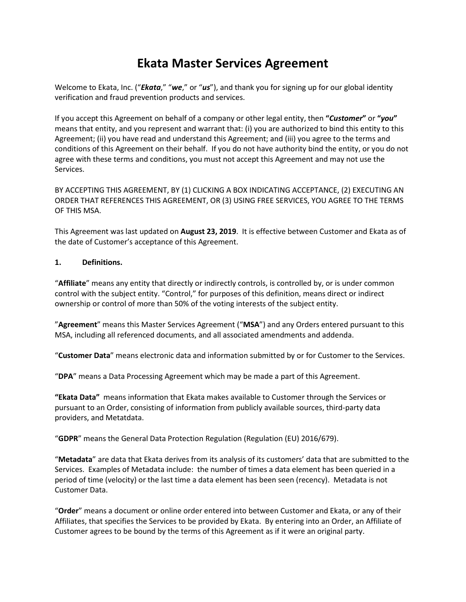# **Ekata Master Services Agreement**

Welcome to Ekata, Inc. ("*Ekata*," "*we*," or "*us*"), and thank you for signing up for our global identity verification and fraud prevention products and services.

If you accept this Agreement on behalf of a company or other legal entity, then **"***Customer***"** or **"***you***"** means that entity, and you represent and warrant that: (i) you are authorized to bind this entity to this Agreement; (ii) you have read and understand this Agreement; and (iii) you agree to the terms and conditions of this Agreement on their behalf. If you do not have authority bind the entity, or you do not agree with these terms and conditions, you must not accept this Agreement and may not use the Services.

BY ACCEPTING THIS AGREEMENT, BY (1) CLICKING A BOX INDICATING ACCEPTANCE, (2) EXECUTING AN ORDER THAT REFERENCES THIS AGREEMENT, OR (3) USING FREE SERVICES, YOU AGREE TO THE TERMS OF THIS MSA.

This Agreement was last updated on **August 23, 2019**. It is effective between Customer and Ekata as of the date of Customer's acceptance of this Agreement.

#### **1. Definitions.**

"**Affiliate**" means any entity that directly or indirectly controls, is controlled by, or is under common control with the subject entity. "Control," for purposes of this definition, means direct or indirect ownership or control of more than 50% of the voting interests of the subject entity.

"**Agreement**" means this Master Services Agreement ("**MSA**") and any Orders entered pursuant to this MSA, including all referenced documents, and all associated amendments and addenda.

"**Customer Data**" means electronic data and information submitted by or for Customer to the Services.

"**DPA**" means a Data Processing Agreement which may be made a part of this Agreement.

**"Ekata Data"** means information that Ekata makes available to Customer through the Services or pursuant to an Order, consisting of information from publicly available sources, third-party data providers, and Metatdata.

"**GDPR**" means the General Data Protection Regulation (Regulation (EU) 2016/679).

"**Metadata**" are data that Ekata derives from its analysis of its customers' data that are submitted to the Services. Examples of Metadata include: the number of times a data element has been queried in a period of time (velocity) or the last time a data element has been seen (recency). Metadata is not Customer Data.

"**Order**" means a document or online order entered into between Customer and Ekata, or any of their Affiliates, that specifies the Services to be provided by Ekata. By entering into an Order, an Affiliate of Customer agrees to be bound by the terms of this Agreement as if it were an original party.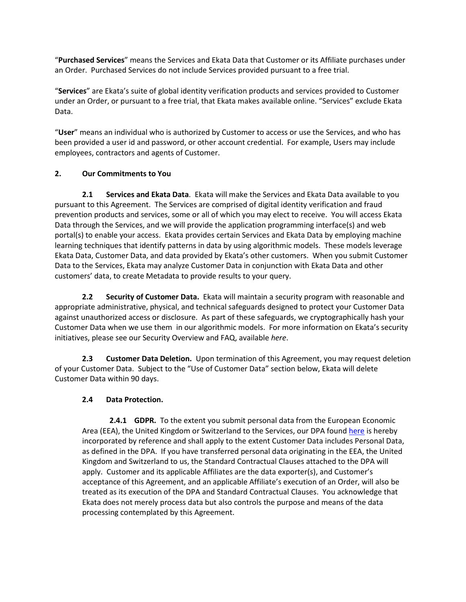"**Purchased Services**" means the Services and Ekata Data that Customer or its Affiliate purchases under an Order. Purchased Services do not include Services provided pursuant to a free trial.

"**Services**" are Ekata's suite of global identity verification products and services provided to Customer under an Order, or pursuant to a free trial, that Ekata makes available online. "Services" exclude Ekata Data.

"**User**" means an individual who is authorized by Customer to access or use the Services, and who has been provided a user id and password, or other account credential. For example, Users may include employees, contractors and agents of Customer.

# **2. Our Commitments to You**

**2.1 Services and Ekata Data**. Ekata will make the Services and Ekata Data available to you pursuant to this Agreement. The Services are comprised of digital identity verification and fraud prevention products and services, some or all of which you may elect to receive. You will access Ekata Data through the Services, and we will provide the application programming interface(s) and web portal(s) to enable your access. Ekata provides certain Services and Ekata Data by employing machine learning techniques that identify patterns in data by using algorithmic models. These models leverage Ekata Data, Customer Data, and data provided by Ekata's other customers. When you submit Customer Data to the Services, Ekata may analyze Customer Data in conjunction with Ekata Data and other customers' data, to create Metadata to provide results to your query.

**2.2 Security of Customer Data.** Ekata will maintain a security program with reasonable and appropriate administrative, physical, and technical safeguards designed to protect your Customer Data against unauthorized access or disclosure. As part of these safeguards, we cryptographically hash your Customer Data when we use them in our algorithmic models. For more information on Ekata's security initiatives, please see our Security Overview and FAQ, available *[here](https://ekata.com/security-overview-and-faq)*.

**2.3 Customer Data Deletion.** Upon termination of this Agreement, you may request deletion of your Customer Data. Subject to the "Use of Customer Data" section below, Ekata will delete Customer Data within 90 days.

## **2.4 Data Protection.**

**2.4.1 GDPR.** To the extent you submit personal data from the European Economic Area (EEA), the United Kingdom or Switzerland to the Services, our DPA foun[d here](https://ekata.com/ekata-agreements-and-terms/) is hereby incorporated by reference and shall apply to the extent Customer Data includes Personal Data, as defined in the DPA. If you have transferred personal data originating in the EEA, the United Kingdom and Switzerland to us, the Standard Contractual Clauses attached to the DPA will apply. Customer and its applicable Affiliates are the data exporter(s), and Customer's acceptance of this Agreement, and an applicable Affiliate's execution of an Order, will also be treated as its execution of the DPA and Standard Contractual Clauses. You acknowledge that Ekata does not merely process data but also controls the purpose and means of the data processing contemplated by this Agreement.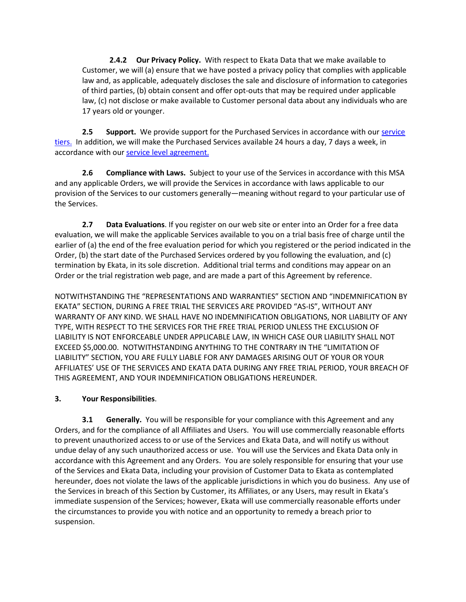**2.4.2 Our Privacy Policy.** With respect to Ekata Data that we make available to Customer, we will (a) ensure that we have posted a privacy policy that complies with applicable law and, as applicable, adequately discloses the sale and disclosure of information to categories of third parties, (b) obtain consent and offer opt-outs that may be required under applicable law, (c) not disclose or make available to Customer personal data about any individuals who are 17 years old or younger.

**2.5 Support.** We provide support for the Purchased Services in accordance with our service [tiers.](https://ekata.com/ekata-agreements-and-terms/) In addition, we will make the Purchased Services available 24 hours a day, 7 days a week, in accordance with our [service level agreement.](https://ekata.com/ekata-agreements-and-terms/)

**2.6 Compliance with Laws.** Subject to your use of the Services in accordance with this MSA and any applicable Orders, we will provide the Services in accordance with laws applicable to our provision of the Services to our customers generally—meaning without regard to your particular use of the Services.

**2.7 Data Evaluations**. If you register on our web site or enter into an Order for a free data evaluation, we will make the applicable Services available to you on a trial basis free of charge until the earlier of (a) the end of the free evaluation period for which you registered or the period indicated in the Order, (b) the start date of the Purchased Services ordered by you following the evaluation, and (c) termination by Ekata, in its sole discretion. Additional trial terms and conditions may appear on an Order or the trial registration web page, and are made a part of this Agreement by reference.

NOTWITHSTANDING THE "REPRESENTATIONS AND WARRANTIES" SECTION AND "INDEMNIFICATION BY EKATA" SECTION, DURING A FREE TRIAL THE SERVICES ARE PROVIDED "AS-IS", WITHOUT ANY WARRANTY OF ANY KIND. WE SHALL HAVE NO INDEMNIFICATION OBLIGATIONS, NOR LIABILITY OF ANY TYPE, WITH RESPECT TO THE SERVICES FOR THE FREE TRIAL PERIOD UNLESS THE EXCLUSION OF LIABILITY IS NOT ENFORCEABLE UNDER APPLICABLE LAW, IN WHICH CASE OUR LIABILITY SHALL NOT EXCEED \$5,000.00. NOTWITHSTANDING ANYTHING TO THE CONTRARY IN THE "LIMITATION OF LIABILITY" SECTION, YOU ARE FULLY LIABLE FOR ANY DAMAGES ARISING OUT OF YOUR OR YOUR AFFILIATES' USE OF THE SERVICES AND EKATA DATA DURING ANY FREE TRIAL PERIOD, YOUR BREACH OF THIS AGREEMENT, AND YOUR INDEMNIFICATION OBLIGATIONS HEREUNDER.

## **3. Your Responsibilities**.

**3.1 Generally.** You will be responsible for your compliance with this Agreement and any Orders, and for the compliance of all Affiliates and Users. You will use commercially reasonable efforts to prevent unauthorized access to or use of the Services and Ekata Data, and will notify us without undue delay of any such unauthorized access or use. You will use the Services and Ekata Data only in accordance with this Agreement and any Orders. You are solely responsible for ensuring that your use of the Services and Ekata Data, including your provision of Customer Data to Ekata as contemplated hereunder, does not violate the laws of the applicable jurisdictions in which you do business. Any use of the Services in breach of this Section by Customer, its Affiliates, or any Users, may result in Ekata's immediate suspension of the Services; however, Ekata will use commercially reasonable efforts under the circumstances to provide you with notice and an opportunity to remedy a breach prior to suspension.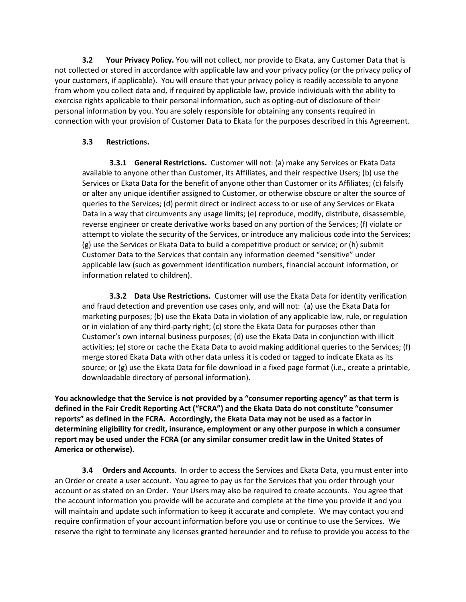**3.2 Your Privacy Policy.** You will not collect, nor provide to Ekata, any Customer Data that is not collected or stored in accordance with applicable law and your privacy policy (or the privacy policy of your customers, if applicable). You will ensure that your privacy policy is readily accessible to anyone from whom you collect data and, if required by applicable law, provide individuals with the ability to exercise rights applicable to their personal information, such as opting-out of disclosure of their personal information by you. You are solely responsible for obtaining any consents required in connection with your provision of Customer Data to Ekata for the purposes described in this Agreement.

## **3.3 Restrictions.**

**3.3.1 General Restrictions.** Customer will not: (a) make any Services or Ekata Data available to anyone other than Customer, its Affiliates, and their respective Users; (b) use the Services or Ekata Data for the benefit of anyone other than Customer or its Affiliates; (c) falsify or alter any unique identifier assigned to Customer, or otherwise obscure or alter the source of queries to the Services; (d) permit direct or indirect access to or use of any Services or Ekata Data in a way that circumvents any usage limits; (e) reproduce, modify, distribute, disassemble, reverse engineer or create derivative works based on any portion of the Services; (f) violate or attempt to violate the security of the Services, or introduce any malicious code into the Services; (g) use the Services or Ekata Data to build a competitive product or service; or (h) submit Customer Data to the Services that contain any information deemed "sensitive" under applicable law (such as government identification numbers, financial account information, or information related to children).

**3.3.2 Data Use Restrictions.** Customer will use the Ekata Data for identity verification and fraud detection and prevention use cases only, and will not: (a) use the Ekata Data for marketing purposes; (b) use the Ekata Data in violation of any applicable law, rule, or regulation or in violation of any third-party right; (c) store the Ekata Data for purposes other than Customer's own internal business purposes; (d) use the Ekata Data in conjunction with illicit activities; (e) store or cache the Ekata Data to avoid making additional queries to the Services; (f) merge stored Ekata Data with other data unless it is coded or tagged to indicate Ekata as its source; or (g) use the Ekata Data for file download in a fixed page format (i.e., create a printable, downloadable directory of personal information).

**You acknowledge that the Service is not provided by a "consumer reporting agency" as that term is defined in the Fair Credit Reporting Act ("FCRA") and the Ekata Data do not constitute "consumer reports" as defined in the FCRA. Accordingly, the Ekata Data may not be used as a factor in determining eligibility for credit, insurance, employment or any other purpose in which a consumer report may be used under the FCRA (or any similar consumer credit law in the United States of America or otherwise).**

**3.4 Orders and Accounts**. In order to access the Services and Ekata Data, you must enter into an Order or create a user account. You agree to pay us for the Services that you order through your account or as stated on an Order. Your Users may also be required to create accounts. You agree that the account information you provide will be accurate and complete at the time you provide it and you will maintain and update such information to keep it accurate and complete. We may contact you and require confirmation of your account information before you use or continue to use the Services. We reserve the right to terminate any licenses granted hereunder and to refuse to provide you access to the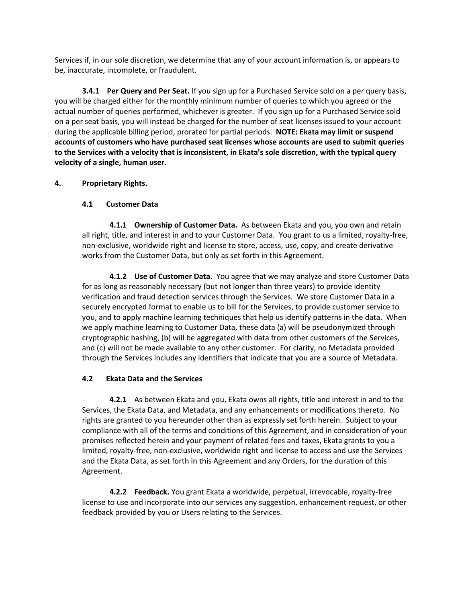Services if, in our sole discretion, we determine that any of your account information is, or appears to be, inaccurate, incomplete, or fraudulent.

**3.4.1 Per Query and Per Seat.** If you sign up for a Purchased Service sold on a per query basis, you will be charged either for the monthly minimum number of queries to which you agreed or the actual number of queries performed, whichever is greater. If you sign up for a Purchased Service sold on a per seat basis, you will instead be charged for the number of seat licenses issued to your account during the applicable billing period, prorated for partial periods. **NOTE: Ekata may limit or suspend accounts of customers who have purchased seat licenses whose accounts are used to submit queries to the Services with a velocity that is inconsistent, in Ekata's sole discretion, with the typical query velocity of a single, human user.**

#### **4. Proprietary Rights.**

#### **4.1 Customer Data**

**4.1.1 Ownership of Customer Data.** As between Ekata and you, you own and retain all right, title, and interest in and to your Customer Data. You grant to us a limited, royalty-free, non-exclusive, worldwide right and license to store, access, use, copy, and create derivative works from the Customer Data, but only as set forth in this Agreement.

**4.1.2 Use of Customer Data.** You agree that we may analyze and store Customer Data for as long as reasonably necessary (but not longer than three years) to provide identity verification and fraud detection services through the Services. We store Customer Data in a securely encrypted format to enable us to bill for the Services, to provide customer service to you, and to apply machine learning techniques that help us identify patterns in the data. When we apply machine learning to Customer Data, these data (a) will be pseudonymized through cryptographic hashing, (b) will be aggregated with data from other customers of the Services, and (c) will not be made available to any other customer. For clarity, no Metadata provided through the Services includes any identifiers that indicate that you are a source of Metadata.

#### **4.2 Ekata Data and the Services**

**4.2.1** As between Ekata and you, Ekata owns all rights, title and interest in and to the Services, the Ekata Data, and Metadata, and any enhancements or modifications thereto. No rights are granted to you hereunder other than as expressly set forth herein. Subject to your compliance with all of the terms and conditions of this Agreement, and in consideration of your promises reflected herein and your payment of related fees and taxes, Ekata grants to you a limited, royalty-free, non-exclusive, worldwide right and license to access and use the Services and the Ekata Data, as set forth in this Agreement and any Orders, for the duration of this Agreement.

**4.2.2 Feedback.** You grant Ekata a worldwide, perpetual, irrevocable, royalty-free license to use and incorporate into our services any suggestion, enhancement request, or other feedback provided by you or Users relating to the Services.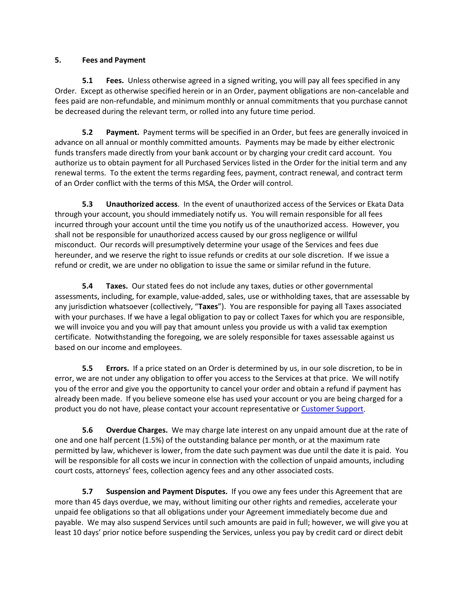#### **5. Fees and Payment**

**5.1** Fees. Unless otherwise agreed in a signed writing, you will pay all fees specified in any Order. Except as otherwise specified herein or in an Order, payment obligations are non-cancelable and fees paid are non-refundable, and minimum monthly or annual commitments that you purchase cannot be decreased during the relevant term, or rolled into any future time period.

**5.2 Payment.** Payment terms will be specified in an Order, but fees are generally invoiced in advance on all annual or monthly committed amounts. Payments may be made by either electronic funds transfers made directly from your bank account or by charging your credit card account. You authorize us to obtain payment for all Purchased Services listed in the Order for the initial term and any renewal terms. To the extent the terms regarding fees, payment, contract renewal, and contract term of an Order conflict with the terms of this MSA, the Order will control.

**5.3 Unauthorized access**. In the event of unauthorized access of the Services or Ekata Data through your account, you should immediately notify us. You will remain responsible for all fees incurred through your account until the time you notify us of the unauthorized access. However, you shall not be responsible for unauthorized access caused by our gross negligence or willful misconduct. Our records will presumptively determine your usage of the Services and fees due hereunder, and we reserve the right to issue refunds or credits at our sole discretion. If we issue a refund or credit, we are under no obligation to issue the same or similar refund in the future.

**5.4 Taxes.** Our stated fees do not include any taxes, duties or other governmental assessments, including, for example, value-added, sales, use or withholding taxes, that are assessable by any jurisdiction whatsoever (collectively, "**Taxes**"). You are responsible for paying all Taxes associated with your purchases. If we have a legal obligation to pay or collect Taxes for which you are responsible, we will invoice you and you will pay that amount unless you provide us with a valid tax exemption certificate. Notwithstanding the foregoing, we are solely responsible for taxes assessable against us based on our income and employees.

**5.5 Errors.** If a price stated on an Order is determined by us, in our sole discretion, to be in error, we are not under any obligation to offer you access to the Services at that price. We will notify you of the error and give you the opportunity to cancel your order and obtain a refund if payment has already been made. If you believe someone else has used your account or you are being charged for a product you do not have, please contact your account representative or [Customer Support.](https://support.ekata.com/hc/en-us/requests/new)

**5.6 Overdue Charges.** We may charge late interest on any unpaid amount due at the rate of one and one half percent (1.5%) of the outstanding balance per month, or at the maximum rate permitted by law, whichever is lower, from the date such payment was due until the date it is paid. You will be responsible for all costs we incur in connection with the collection of unpaid amounts, including court costs, attorneys' fees, collection agency fees and any other associated costs.

**5.7 Suspension and Payment Disputes.** If you owe any fees under this Agreement that are more than 45 days overdue, we may, without limiting our other rights and remedies, accelerate your unpaid fee obligations so that all obligations under your Agreement immediately become due and payable. We may also suspend Services until such amounts are paid in full; however, we will give you at least 10 days' prior notice before suspending the Services, unless you pay by credit card or direct debit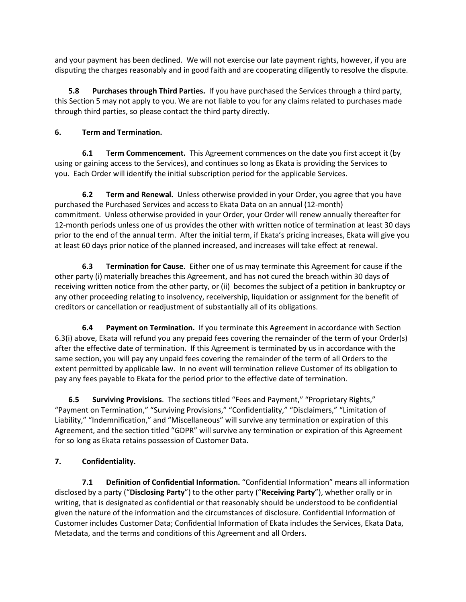and your payment has been declined. We will not exercise our late payment rights, however, if you are disputing the charges reasonably and in good faith and are cooperating diligently to resolve the dispute.

**5.8 Purchases through Third Parties.** If you have purchased the Services through a third party, this Section 5 may not apply to you. We are not liable to you for any claims related to purchases made through third parties, so please contact the third party directly.

# **6. Term and Termination.**

**6.1 Term Commencement.** This Agreement commences on the date you first accept it (by using or gaining access to the Services), and continues so long as Ekata is providing the Services to you. Each Order will identify the initial subscription period for the applicable Services.

**6.2 Term and Renewal.** Unless otherwise provided in your Order, you agree that you have purchased the Purchased Services and access to Ekata Data on an annual (12-month) commitment. Unless otherwise provided in your Order, your Order will renew annually thereafter for 12-month periods unless one of us provides the other with written notice of termination at least 30 days prior to the end of the annual term. After the initial term, if Ekata's pricing increases, Ekata will give you at least 60 days prior notice of the planned increased, and increases will take effect at renewal.

**6.3 Termination for Cause.** Either one of us may terminate this Agreement for cause if the other party (i) materially breaches this Agreement, and has not cured the breach within 30 days of receiving written notice from the other party, or (ii) becomes the subject of a petition in bankruptcy or any other proceeding relating to insolvency, receivership, liquidation or assignment for the benefit of creditors or cancellation or readjustment of substantially all of its obligations.

**6.4 Payment on Termination.** If you terminate this Agreement in accordance with Section 6.3(i) above, Ekata will refund you any prepaid fees covering the remainder of the term of your Order(s) after the effective date of termination. If this Agreement is terminated by us in accordance with the same section, you will pay any unpaid fees covering the remainder of the term of all Orders to the extent permitted by applicable law. In no event will termination relieve Customer of its obligation to pay any fees payable to Ekata for the period prior to the effective date of termination.

**6.5 Surviving Provisions**. The sections titled "Fees and Payment," "Proprietary Rights," "Payment on Termination," "Surviving Provisions," "Confidentiality," "Disclaimers," "Limitation of Liability," "Indemnification," and "Miscellaneous" will survive any termination or expiration of this Agreement, and the section titled "GDPR" will survive any termination or expiration of this Agreement for so long as Ekata retains possession of Customer Data.

# **7. Confidentiality.**

**7.1 Definition of Confidential Information.** "Confidential Information" means all information disclosed by a party ("**Disclosing Party**") to the other party ("**Receiving Party**"), whether orally or in writing, that is designated as confidential or that reasonably should be understood to be confidential given the nature of the information and the circumstances of disclosure. Confidential Information of Customer includes Customer Data; Confidential Information of Ekata includes the Services, Ekata Data, Metadata, and the terms and conditions of this Agreement and all Orders.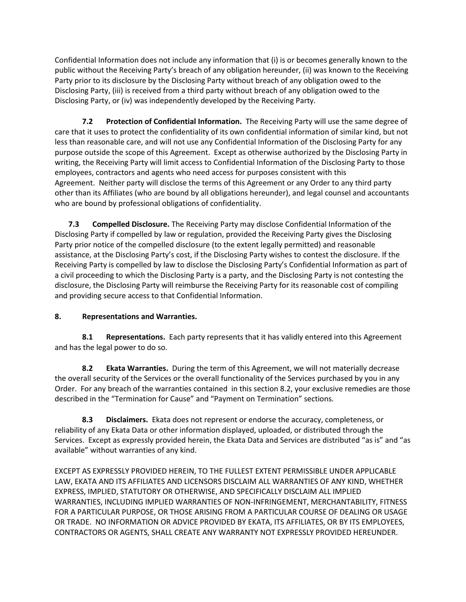Confidential Information does not include any information that (i) is or becomes generally known to the public without the Receiving Party's breach of any obligation hereunder, (ii) was known to the Receiving Party prior to its disclosure by the Disclosing Party without breach of any obligation owed to the Disclosing Party, (iii) is received from a third party without breach of any obligation owed to the Disclosing Party, or (iv) was independently developed by the Receiving Party.

**7.2 Protection of Confidential Information.** The Receiving Party will use the same degree of care that it uses to protect the confidentiality of its own confidential information of similar kind, but not less than reasonable care, and will not use any Confidential Information of the Disclosing Party for any purpose outside the scope of this Agreement. Except as otherwise authorized by the Disclosing Party in writing, the Receiving Party will limit access to Confidential Information of the Disclosing Party to those employees, contractors and agents who need access for purposes consistent with this Agreement. Neither party will disclose the terms of this Agreement or any Order to any third party other than its Affiliates (who are bound by all obligations hereunder), and legal counsel and accountants who are bound by professional obligations of confidentiality.

**7.3 Compelled Disclosure.** The Receiving Party may disclose Confidential Information of the Disclosing Party if compelled by law or regulation, provided the Receiving Party gives the Disclosing Party prior notice of the compelled disclosure (to the extent legally permitted) and reasonable assistance, at the Disclosing Party's cost, if the Disclosing Party wishes to contest the disclosure. If the Receiving Party is compelled by law to disclose the Disclosing Party's Confidential Information as part of a civil proceeding to which the Disclosing Party is a party, and the Disclosing Party is not contesting the disclosure, the Disclosing Party will reimburse the Receiving Party for its reasonable cost of compiling and providing secure access to that Confidential Information.

# **8. Representations and Warranties.**

**8.1 Representations.** Each party represents that it has validly entered into this Agreement and has the legal power to do so.

**8.2 Ekata Warranties.** During the term of this Agreement, we will not materially decrease the overall security of the Services or the overall functionality of the Services purchased by you in any Order. For any breach of the warranties contained in this section 8.2, your exclusive remedies are those described in the "Termination for Cause" and "Payment on Termination" sections.

**8.3 Disclaimers.** Ekata does not represent or endorse the accuracy, completeness, or reliability of any Ekata Data or other information displayed, uploaded, or distributed through the Services. Except as expressly provided herein, the Ekata Data and Services are distributed "as is" and "as available" without warranties of any kind.

EXCEPT AS EXPRESSLY PROVIDED HEREIN, TO THE FULLEST EXTENT PERMISSIBLE UNDER APPLICABLE LAW, EKATA AND ITS AFFILIATES AND LICENSORS DISCLAIM ALL WARRANTIES OF ANY KIND, WHETHER EXPRESS, IMPLIED, STATUTORY OR OTHERWISE, AND SPECIFICALLY DISCLAIM ALL IMPLIED WARRANTIES, INCLUDING IMPLIED WARRANTIES OF NON-INFRINGEMENT, MERCHANTABILITY, FITNESS FOR A PARTICULAR PURPOSE, OR THOSE ARISING FROM A PARTICULAR COURSE OF DEALING OR USAGE OR TRADE. NO INFORMATION OR ADVICE PROVIDED BY EKATA, ITS AFFILIATES, OR BY ITS EMPLOYEES, CONTRACTORS OR AGENTS, SHALL CREATE ANY WARRANTY NOT EXPRESSLY PROVIDED HEREUNDER.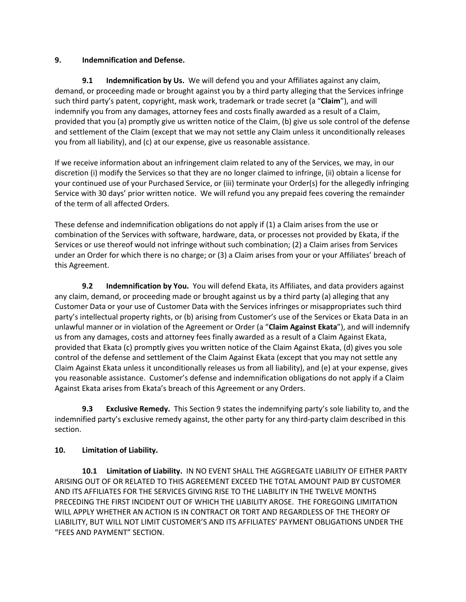#### **9. Indemnification and Defense.**

**9.1 Indemnification by Us.** We will defend you and your Affiliates against any claim, demand, or proceeding made or brought against you by a third party alleging that the Services infringe such third party's patent, copyright, mask work, trademark or trade secret (a "**Claim**"), and will indemnify you from any damages, attorney fees and costs finally awarded as a result of a Claim, provided that you (a) promptly give us written notice of the Claim, (b) give us sole control of the defense and settlement of the Claim (except that we may not settle any Claim unless it unconditionally releases you from all liability), and (c) at our expense, give us reasonable assistance.

If we receive information about an infringement claim related to any of the Services, we may, in our discretion (i) modify the Services so that they are no longer claimed to infringe, (ii) obtain a license for your continued use of your Purchased Service, or (iii) terminate your Order(s) for the allegedly infringing Service with 30 days' prior written notice. We will refund you any prepaid fees covering the remainder of the term of all affected Orders.

These defense and indemnification obligations do not apply if (1) a Claim arises from the use or combination of the Services with software, hardware, data, or processes not provided by Ekata, if the Services or use thereof would not infringe without such combination; (2) a Claim arises from Services under an Order for which there is no charge; or (3) a Claim arises from your or your Affiliates' breach of this Agreement.

**9.2 Indemnification by You.** You will defend Ekata, its Affiliates, and data providers against any claim, demand, or proceeding made or brought against us by a third party (a) alleging that any Customer Data or your use of Customer Data with the Services infringes or misappropriates such third party's intellectual property rights, or (b) arising from Customer's use of the Services or Ekata Data in an unlawful manner or in violation of the Agreement or Order (a "**Claim Against Ekata**"), and will indemnify us from any damages, costs and attorney fees finally awarded as a result of a Claim Against Ekata, provided that Ekata (c) promptly gives you written notice of the Claim Against Ekata, (d) gives you sole control of the defense and settlement of the Claim Against Ekata (except that you may not settle any Claim Against Ekata unless it unconditionally releases us from all liability), and (e) at your expense, gives you reasonable assistance. Customer's defense and indemnification obligations do not apply if a Claim Against Ekata arises from Ekata's breach of this Agreement or any Orders.

**9.3 Exclusive Remedy.** This Section 9 states the indemnifying party's sole liability to, and the indemnified party's exclusive remedy against, the other party for any third-party claim described in this section.

## **10. Limitation of Liability.**

**10.1 Limitation of Liability.** IN NO EVENT SHALL THE AGGREGATE LIABILITY OF EITHER PARTY ARISING OUT OF OR RELATED TO THIS AGREEMENT EXCEED THE TOTAL AMOUNT PAID BY CUSTOMER AND ITS AFFILIATES FOR THE SERVICES GIVING RISE TO THE LIABILITY IN THE TWELVE MONTHS PRECEDING THE FIRST INCIDENT OUT OF WHICH THE LIABILITY AROSE. THE FOREGOING LIMITATION WILL APPLY WHETHER AN ACTION IS IN CONTRACT OR TORT AND REGARDLESS OF THE THEORY OF LIABILITY, BUT WILL NOT LIMIT CUSTOMER'S AND ITS AFFILIATES' PAYMENT OBLIGATIONS UNDER THE "FEES AND PAYMENT" SECTION.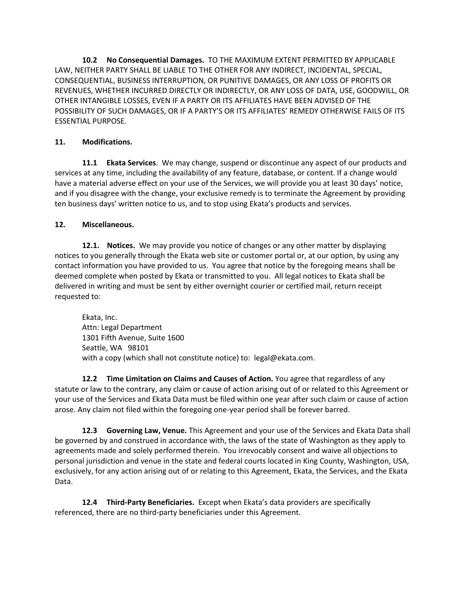**10.2 No Consequential Damages.** TO THE MAXIMUM EXTENT PERMITTED BY APPLICABLE LAW, NEITHER PARTY SHALL BE LIABLE TO THE OTHER FOR ANY INDIRECT, INCIDENTAL, SPECIAL, CONSEQUENTIAL, BUSINESS INTERRUPTION, OR PUNITIVE DAMAGES, OR ANY LOSS OF PROFITS OR REVENUES, WHETHER INCURRED DIRECTLY OR INDIRECTLY, OR ANY LOSS OF DATA, USE, GOODWILL, OR OTHER INTANGIBLE LOSSES, EVEN IF A PARTY OR ITS AFFILIATES HAVE BEEN ADVISED OF THE POSSIBILITY OF SUCH DAMAGES, OR IF A PARTY'S OR ITS AFFILIATES' REMEDY OTHERWISE FAILS OF ITS ESSENTIAL PURPOSE.

# **11. Modifications.**

**11.1 Ekata Services**. We may change, suspend or discontinue any aspect of our products and services at any time, including the availability of any feature, database, or content. If a change would have a material adverse effect on your use of the Services, we will provide you at least 30 days' notice, and if you disagree with the change, your exclusive remedy is to terminate the Agreement by providing ten business days' written notice to us, and to stop using Ekata's products and services.

# **12. Miscellaneous.**

**12.1. Notices.** We may provide you notice of changes or any other matter by displaying notices to you generally through the Ekata web site or customer portal or, at our option, by using any contact information you have provided to us. You agree that notice by the foregoing means shall be deemed complete when posted by Ekata or transmitted to you. All legal notices to Ekata shall be delivered in writing and must be sent by either overnight courier or certified mail, return receipt requested to:

Ekata, Inc. Attn: Legal Department 1301 Fifth Avenue, Suite 1600 Seattle, WA 98101 with a copy (which shall not constitute notice) to: legal@ekata.com.

**12.2 Time Limitation on Claims and Causes of Action.** You agree that regardless of any statute or law to the contrary, any claim or cause of action arising out of or related to this Agreement or your use of the Services and Ekata Data must be filed within one year after such claim or cause of action arose. Any claim not filed within the foregoing one-year period shall be forever barred.

**12.3 Governing Law, Venue.** This Agreement and your use of the Services and Ekata Data shall be governed by and construed in accordance with, the laws of the state of Washington as they apply to agreements made and solely performed therein. You irrevocably consent and waive all objections to personal jurisdiction and venue in the state and federal courts located in King County, Washington, USA, exclusively, for any action arising out of or relating to this Agreement, Ekata, the Services, and the Ekata Data.

**12.4 Third-Party Beneficiaries.** Except when Ekata's data providers are specifically referenced, there are no third-party beneficiaries under this Agreement.